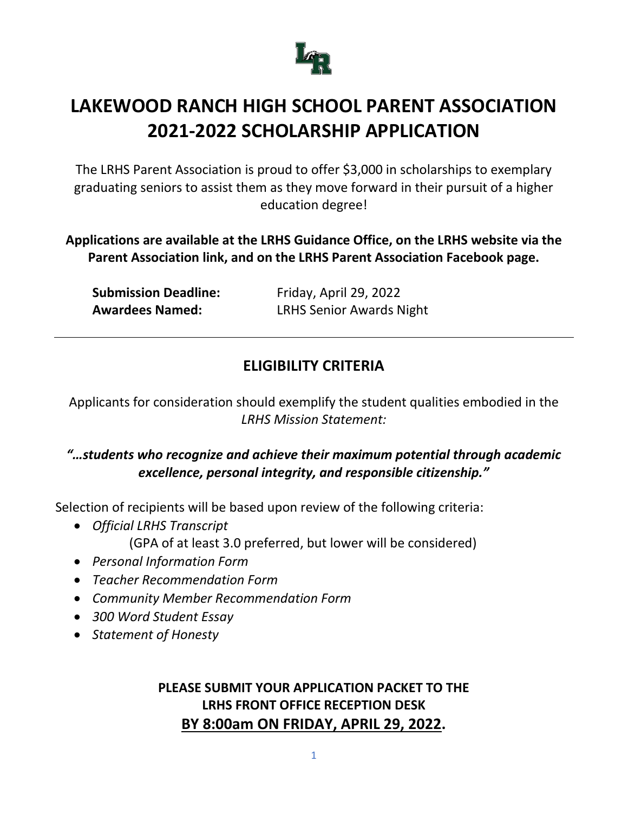

The LRHS Parent Association is proud to offer \$3,000 in scholarships to exemplary graduating seniors to assist them as they move forward in their pursuit of a higher education degree!

**Applications are available at the LRHS Guidance Office, on the LRHS website via the Parent Association link, and on the LRHS Parent Association Facebook page.**

| <b>Submission Deadline:</b> |
|-----------------------------|
| <b>Awardees Named:</b>      |

**Submission Deadline:** Friday, April 29, 2022 **LRHS Senior Awards Night** 

# **ELIGIBILITY CRITERIA**

Applicants for consideration should exemplify the student qualities embodied in the *LRHS Mission Statement:*

### *"…students who recognize and achieve their maximum potential through academic excellence, personal integrity, and responsible citizenship."*

Selection of recipients will be based upon review of the following criteria:

- *Official LRHS Transcript* (GPA of at least 3.0 preferred, but lower will be considered)
- *Personal Information Form*
- *Teacher Recommendation Form*
- *Community Member Recommendation Form*
- *300 Word Student Essay*
- *Statement of Honesty*

### **PLEASE SUBMIT YOUR APPLICATION PACKET TO THE LRHS FRONT OFFICE RECEPTION DESK BY 8:00am ON FRIDAY, APRIL 29, 2022.**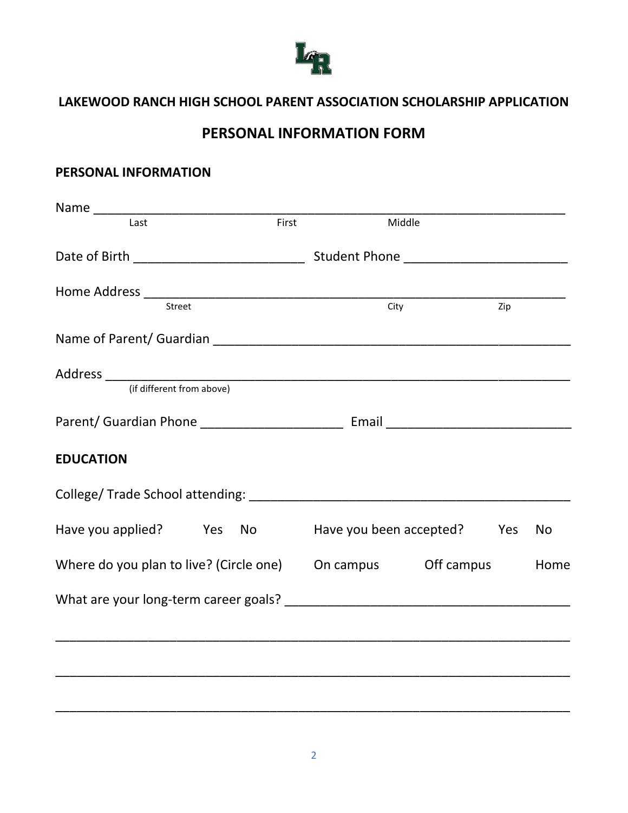

## **PERSONAL INFORMATION FORM**

#### **PERSONAL INFORMATION**

| Last                                                         | First | Middle                  |     |           |
|--------------------------------------------------------------|-------|-------------------------|-----|-----------|
|                                                              |       |                         |     |           |
| Street                                                       |       | City                    | Zip |           |
|                                                              |       |                         |     |           |
|                                                              |       |                         |     |           |
|                                                              |       |                         |     |           |
|                                                              |       |                         |     |           |
|                                                              |       |                         |     |           |
| <b>EDUCATION</b>                                             |       |                         |     |           |
|                                                              |       |                         |     |           |
| Have you applied? Yes No                                     |       | Have you been accepted? | Yes | <b>No</b> |
| Where do you plan to live? (Circle one) On campus Off campus |       |                         |     | Home      |
|                                                              |       |                         |     |           |
|                                                              |       |                         |     |           |
|                                                              |       |                         |     |           |
|                                                              |       |                         |     |           |
|                                                              |       |                         |     |           |

\_\_\_\_\_\_\_\_\_\_\_\_\_\_\_\_\_\_\_\_\_\_\_\_\_\_\_\_\_\_\_\_\_\_\_\_\_\_\_\_\_\_\_\_\_\_\_\_\_\_\_\_\_\_\_\_\_\_\_\_\_\_\_\_\_\_\_\_\_\_\_\_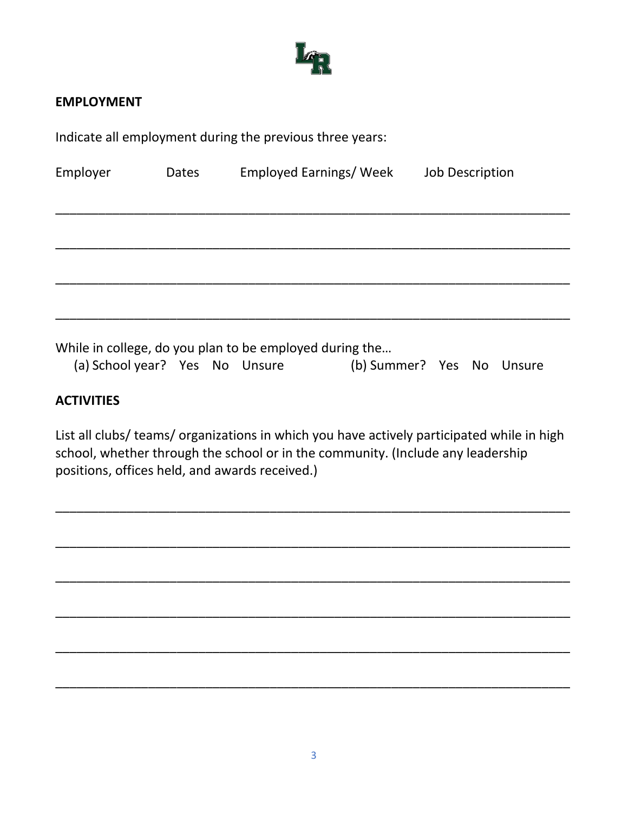

#### **EMPLOYMENT**

Indicate all employment during the previous three years:

| Employer                       | Dates | Employed Earnings/ Week                                 |                           | <b>Job Description</b> |  |
|--------------------------------|-------|---------------------------------------------------------|---------------------------|------------------------|--|
|                                |       |                                                         |                           |                        |  |
|                                |       |                                                         |                           |                        |  |
|                                |       |                                                         |                           |                        |  |
|                                |       |                                                         |                           |                        |  |
| (a) School year? Yes No Unsure |       | While in college, do you plan to be employed during the | (b) Summer? Yes No Unsure |                        |  |

#### **ACTIVITIES**

List all clubs/ teams/ organizations in which you have actively participated while in high school, whether through the school or in the community. (Include any leadership positions, offices held, and awards received.)

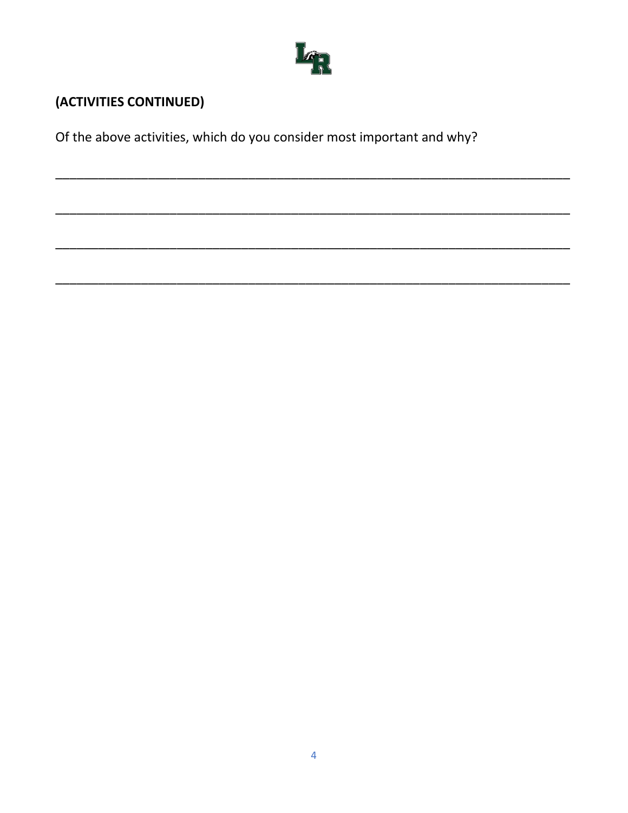

# (ACTIVITIES CONTINUED)

Of the above activities, which do you consider most important and why?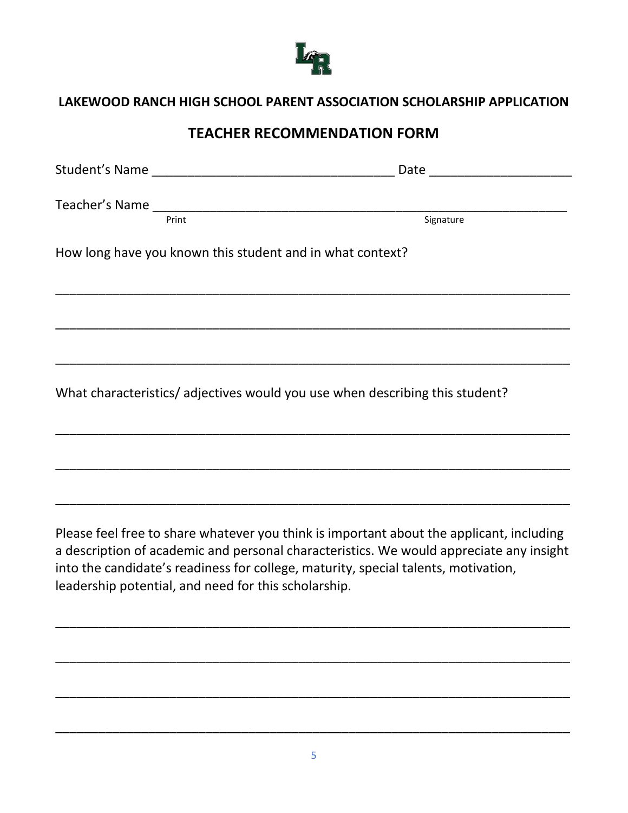

### **TEACHER RECOMMENDATION FORM**

|                                                                             | Student's Name |                                                           | Date <u>______________</u> |  |
|-----------------------------------------------------------------------------|----------------|-----------------------------------------------------------|----------------------------|--|
|                                                                             | Print          |                                                           | Signature                  |  |
|                                                                             |                | How long have you known this student and in what context? |                            |  |
|                                                                             |                |                                                           |                            |  |
|                                                                             |                |                                                           |                            |  |
| What characteristics/adjectives would you use when describing this student? |                |                                                           |                            |  |

Please feel free to share whatever you think is important about the applicant, including a description of academic and personal characteristics. We would appreciate any insight into the candidate's readiness for college, maturity, special talents, motivation, leadership potential, and need for this scholarship.

\_\_\_\_\_\_\_\_\_\_\_\_\_\_\_\_\_\_\_\_\_\_\_\_\_\_\_\_\_\_\_\_\_\_\_\_\_\_\_\_\_\_\_\_\_\_\_\_\_\_\_\_\_\_\_\_\_\_\_\_\_\_\_\_\_\_\_\_\_\_\_\_

\_\_\_\_\_\_\_\_\_\_\_\_\_\_\_\_\_\_\_\_\_\_\_\_\_\_\_\_\_\_\_\_\_\_\_\_\_\_\_\_\_\_\_\_\_\_\_\_\_\_\_\_\_\_\_\_\_\_\_\_\_\_\_\_\_\_\_\_\_\_\_\_

\_\_\_\_\_\_\_\_\_\_\_\_\_\_\_\_\_\_\_\_\_\_\_\_\_\_\_\_\_\_\_\_\_\_\_\_\_\_\_\_\_\_\_\_\_\_\_\_\_\_\_\_\_\_\_\_\_\_\_\_\_\_\_\_\_\_\_\_\_\_\_\_

\_\_\_\_\_\_\_\_\_\_\_\_\_\_\_\_\_\_\_\_\_\_\_\_\_\_\_\_\_\_\_\_\_\_\_\_\_\_\_\_\_\_\_\_\_\_\_\_\_\_\_\_\_\_\_\_\_\_\_\_\_\_\_\_\_\_\_\_\_\_\_\_

\_\_\_\_\_\_\_\_\_\_\_\_\_\_\_\_\_\_\_\_\_\_\_\_\_\_\_\_\_\_\_\_\_\_\_\_\_\_\_\_\_\_\_\_\_\_\_\_\_\_\_\_\_\_\_\_\_\_\_\_\_\_\_\_\_\_\_\_\_\_\_\_

\_\_\_\_\_\_\_\_\_\_\_\_\_\_\_\_\_\_\_\_\_\_\_\_\_\_\_\_\_\_\_\_\_\_\_\_\_\_\_\_\_\_\_\_\_\_\_\_\_\_\_\_\_\_\_\_\_\_\_\_\_\_\_\_\_\_\_\_\_\_\_\_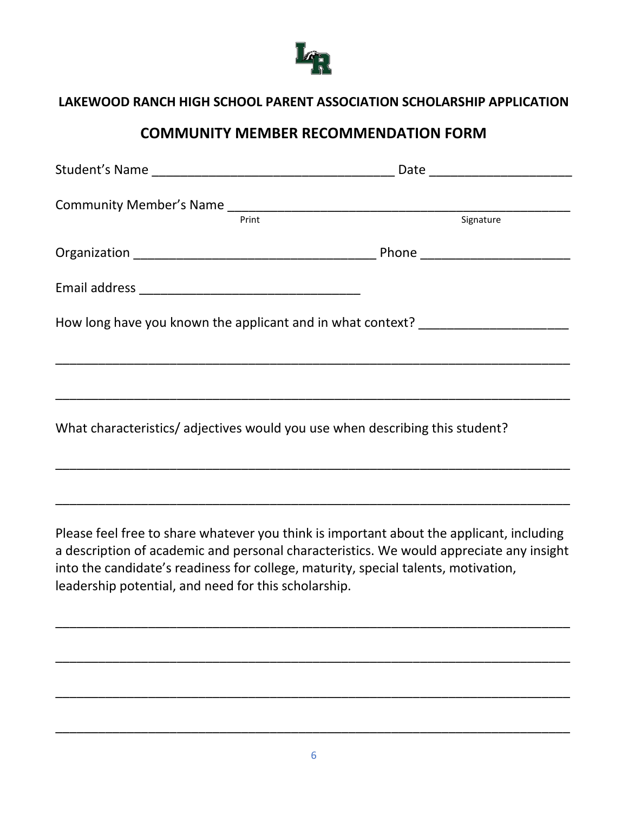

### **COMMUNITY MEMBER RECOMMENDATION FORM**

| Print                                                                       | Signature                                                                                                                                                                                                                                                                 |  |
|-----------------------------------------------------------------------------|---------------------------------------------------------------------------------------------------------------------------------------------------------------------------------------------------------------------------------------------------------------------------|--|
|                                                                             |                                                                                                                                                                                                                                                                           |  |
|                                                                             |                                                                                                                                                                                                                                                                           |  |
|                                                                             | How long have you known the applicant and in what context? _____________________                                                                                                                                                                                          |  |
|                                                                             |                                                                                                                                                                                                                                                                           |  |
| What characteristics/adjectives would you use when describing this student? |                                                                                                                                                                                                                                                                           |  |
|                                                                             |                                                                                                                                                                                                                                                                           |  |
| leadership potential, and need for this scholarship.                        | Please feel free to share whatever you think is important about the applicant, including<br>a description of academic and personal characteristics. We would appreciate any insight<br>into the candidate's readiness for college, maturity, special talents, motivation, |  |
|                                                                             |                                                                                                                                                                                                                                                                           |  |

\_\_\_\_\_\_\_\_\_\_\_\_\_\_\_\_\_\_\_\_\_\_\_\_\_\_\_\_\_\_\_\_\_\_\_\_\_\_\_\_\_\_\_\_\_\_\_\_\_\_\_\_\_\_\_\_\_\_\_\_\_\_\_\_\_\_\_\_\_\_\_\_

\_\_\_\_\_\_\_\_\_\_\_\_\_\_\_\_\_\_\_\_\_\_\_\_\_\_\_\_\_\_\_\_\_\_\_\_\_\_\_\_\_\_\_\_\_\_\_\_\_\_\_\_\_\_\_\_\_\_\_\_\_\_\_\_\_\_\_\_\_\_\_\_

\_\_\_\_\_\_\_\_\_\_\_\_\_\_\_\_\_\_\_\_\_\_\_\_\_\_\_\_\_\_\_\_\_\_\_\_\_\_\_\_\_\_\_\_\_\_\_\_\_\_\_\_\_\_\_\_\_\_\_\_\_\_\_\_\_\_\_\_\_\_\_\_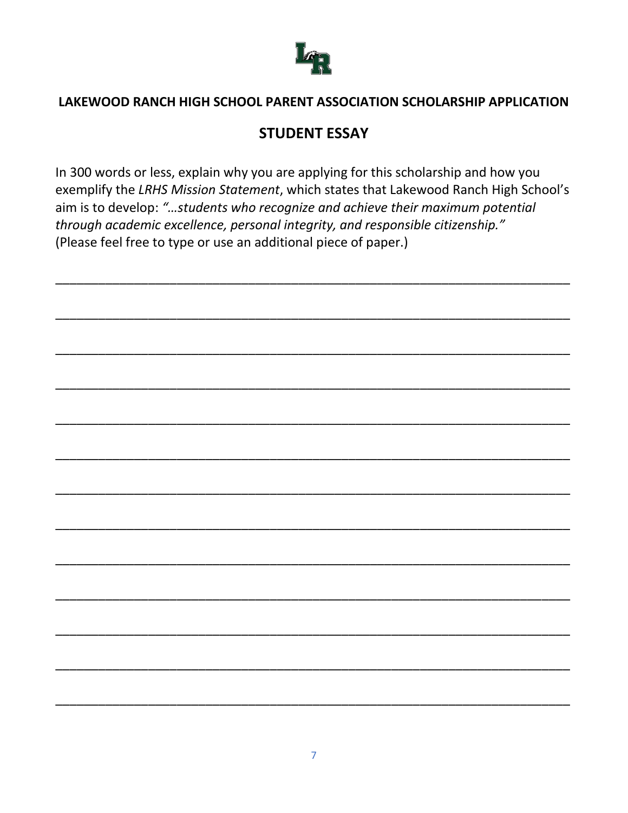

### **STUDENT ESSAY**

In 300 words or less, explain why you are applying for this scholarship and how you exemplify the LRHS Mission Statement, which states that Lakewood Ranch High School's aim is to develop: "...students who recognize and achieve their maximum potential through academic excellence, personal integrity, and responsible citizenship." (Please feel free to type or use an additional piece of paper.)